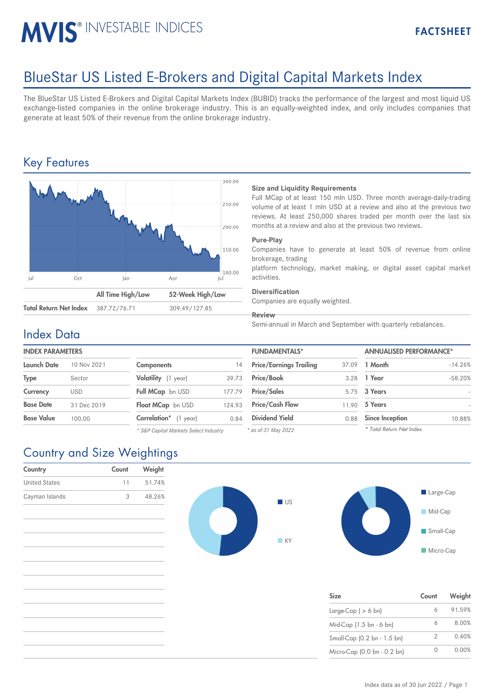# MVIS<sup>®</sup> INVESTABLE INDICES

## BlueStar US Listed E-Brokers and Digital Capital Markets Index

The BlueStar US Listed E-Brokers and Digital Capital Markets Index (BUBID) tracks the performance of the largest and most liquid US exchange-listed companies in the online brokerage industry. This is an equally-weighted index, and only includes companies that generate at least 50% of their revenue from the online brokerage industry.

## Key Features



#### **Size and Liquidity Requirements**

Full MCap of at least 150 mln USD. Three month average-daily-trading volume of at least 1 mln USD at a review and also at the previous two reviews. At least 250,000 shares traded per month over the last six months at a review and also at the previous two reviews.

#### **Pure-Play**

Companies have to generate at least 50% of revenue from online brokerage, trading

platform technology, market making, or digital asset capital market activities.

#### **Diversification**

Companies are equally weighted.

**Review**

Semi-annual in March and September with quarterly rebalances.

### Index Data

### **INDEX PARAMETERS**

| Launch Date       | 10 Nov 2021 | <b>Components</b>             | 14     | <b>Price/Earnings Trailing</b> | 37.09 | 1 Month                |
|-------------------|-------------|-------------------------------|--------|--------------------------------|-------|------------------------|
| <b>Type</b>       | Sector      | Volatility (1 year)           | 39.73  | Price/Book                     |       | 3.28 1 Year            |
| Currency          | <b>USD</b>  | Full MCap bn USD              | 177.79 | <b>Price/Sales</b>             |       | 5.75 3 Years           |
| <b>Base Date</b>  | 31 Dec 2019 | Float MCap bn USD             | 124.93 | <b>Price/Cash Flow</b>         | 11.90 | 5 Years                |
| <b>Base Value</b> | 100.00      | <b>Correlation</b> * (1 year) | 0.84   | <b>Dividend Yield</b>          | 0.88  | <b>Since Inception</b> |
|                   |             |                               |        |                                |       |                        |

*\* S&P Capital Markets Select Industry*

| <b>FUNDAMENTALS*</b>           |       | <b>ANNUALISED PERFORMANCE*</b> |           |  |
|--------------------------------|-------|--------------------------------|-----------|--|
| <b>Price/Earnings Trailing</b> | 37.09 | 1 Month                        | $-14.26%$ |  |
| Price/Book                     | 3.28  | 1 Year                         | $-58.20%$ |  |
| <b>Price/Sales</b>             |       | 5.75 3 Years                   |           |  |
| <b>Price/Cash Flow</b>         | 11.90 | 5 Years                        |           |  |
| <b>Dividend Yield</b>          | 0.88  | <b>Since Inception</b>         | 10.88%    |  |
| $^*$ as of 31 May 2022         |       | * Total Return Net Index       |           |  |

*\* as of 31 May 2022*

## Country and Size Weightings

| Country              | Count | Weight |  |
|----------------------|-------|--------|--|
| <b>United States</b> | 11    | 51.74% |  |
| Cayman Islands       | 3     | 48.26% |  |
|                      |       |        |  |
|                      |       |        |  |





| <b>Size</b>                 | Count | Weight |
|-----------------------------|-------|--------|
| Large-Cap ( $> 6$ bn)       |       | 91.59% |
| Mid-Cap (1.5 bn - 6 bn)     | 6     | 8.00%  |
| Small-Cap (0.2 bn - 1.5 bn) | 2     | 0.40%  |
| Micro-Cap (0.0 bn - 0.2 bn) | O     | 0.00%  |

**Micro-Cap**